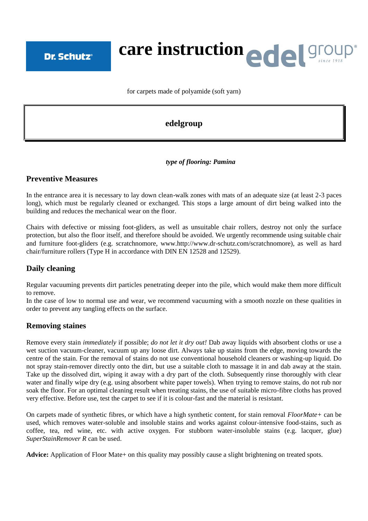**Dr. Schutz®** 

# **care instruction**

for carpets made of polyamide (soft yarn)

# **edelgroup**

#### *type of flooring: Pamina*

### **Preventive Measures**

In the entrance area it is necessary to lay down clean-walk zones with mats of an adequate size (at least 2-3 paces long), which must be regularly cleaned or exchanged. This stops a large amount of dirt being walked into the building and reduces the mechanical wear on the floor.

Chairs with defective or missing foot-gliders, as well as unsuitable chair rollers, destroy not only the surface protection, but also the floor itself, and therefore should be avoided. We urgently recommende using suitable chair and furniture foot-gliders (e.g. scratchnomore, www.http://www.dr-schutz.com/scratchnomore), as well as hard chair/furniture rollers (Type H in accordance with DIN EN 12528 and 12529).

## **Daily cleaning**

Regular vacuuming prevents dirt particles penetrating deeper into the pile, which would make them more difficult to remove.

In the case of low to normal use and wear, we recommend vacuuming with a smooth nozzle on these qualities in order to prevent any tangling effects on the surface.

## **Removing staines**

Remove every stain *immediately* if possible; *do not let it dry out!* Dab away liquids with absorbent cloths or use a wet suction vacuum-cleaner, vacuum up any loose dirt. Always take up stains from the edge, moving towards the centre of the stain. For the removal of stains do not use conventional household cleaners or washing-up liquid. Do not spray stain-remover directly onto the dirt, but use a suitable cloth to massage it in and dab away at the stain. Take up the dissolved dirt, wiping it away with a dry part of the cloth. Subsequently rinse thoroughly with clear water and finally wipe dry (e.g. using absorbent white paper towels). When trying to remove stains, do not rub nor soak the floor. For an optimal cleaning result when treating stains, the use of suitable micro-fibre cloths has proved very effective. Before use, test the carpet to see if it is colour-fast and the material is resistant.

On carpets made of synthetic fibres, or which have a high synthetic content, for stain removal *FloorMate+* can be used, which removes water-soluble and insoluble stains and works against colour-intensive food-stains, such as coffee, tea, red wine, etc. with active oxygen. For stubborn water-insoluble stains (e.g. lacquer, glue) *SuperStainRemover R* can be used.

**Advice:** Application of Floor Mate+ on this quality may possibly cause a slight brightening on treated spots.